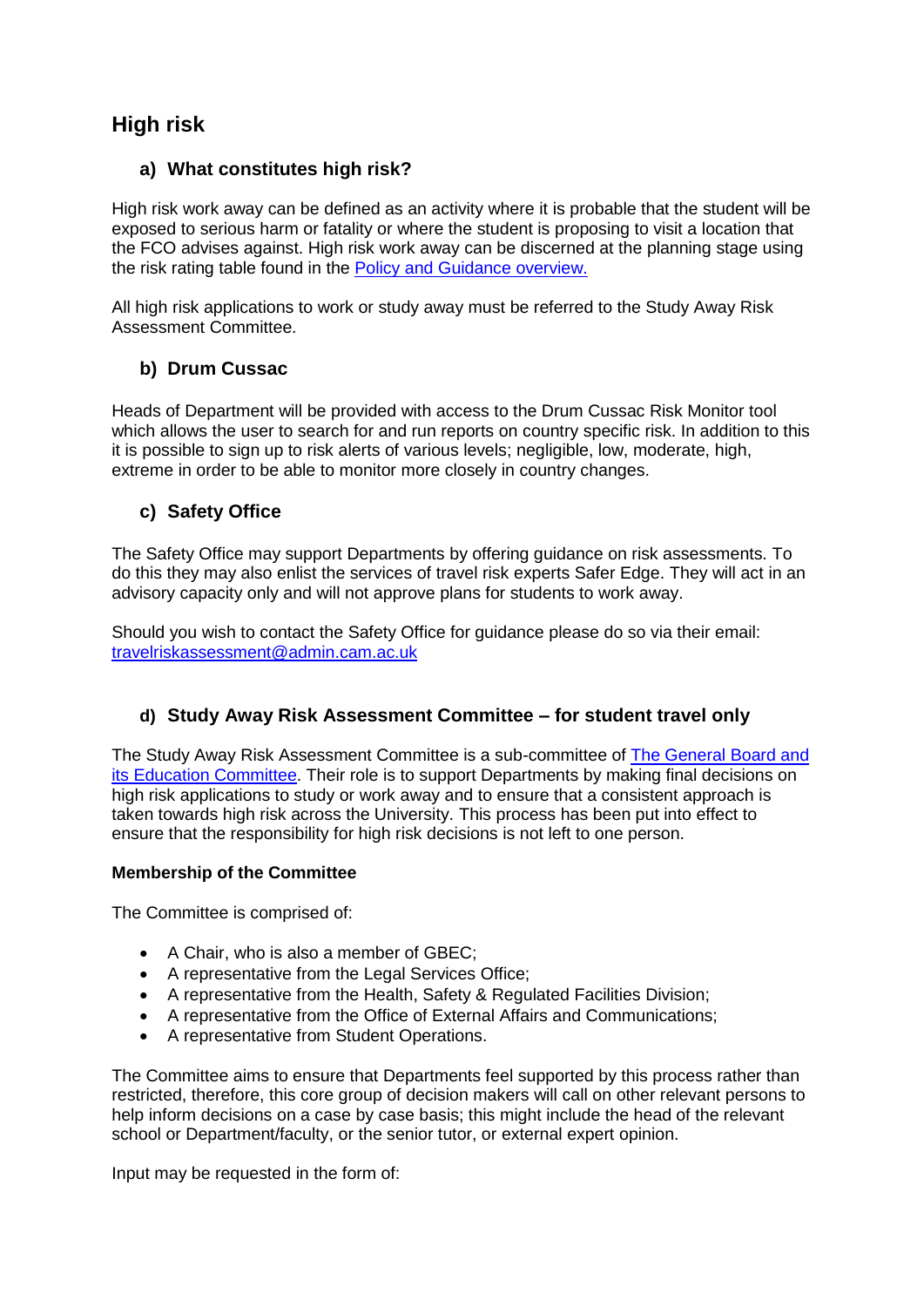# **High risk**

# **a) What constitutes high risk?**

High risk work away can be defined as an activity where it is probable that the student will be exposed to serious harm or fatality or where the student is proposing to visit a location that the FCO advises against. High risk work away can be discerned at the planning stage using the risk rating table found in the [Policy and Guidance overview.](https://www.safeguarding.admin.cam.ac.uk/policy-and-guidance)

All high risk applications to work or study away must be referred to the Study Away Risk Assessment Committee.

# **b) Drum Cussac**

Heads of Department will be provided with access to the Drum Cussac Risk Monitor tool which allows the user to search for and run reports on country specific risk. In addition to this it is possible to sign up to risk alerts of various levels; negligible, low, moderate, high, extreme in order to be able to monitor more closely in country changes.

## **c) Safety Office**

The Safety Office may support Departments by offering guidance on risk assessments. To do this they may also enlist the services of travel risk experts Safer Edge. They will act in an advisory capacity only and will not approve plans for students to work away.

Should you wish to contact the Safety Office for guidance please do so via their email: [travelriska](mailto:travelrisk)ssessment@admin.cam.ac.uk

## **d) Study Away Risk Assessment Committee – for student travel only**

The Study Away Risk Assessment Committee is a sub-committee of [The General Board and](https://www.educationalpolicy.admin.cam.ac.uk/committees/general-board-and-gbec)  [its Education Committee.](https://www.educationalpolicy.admin.cam.ac.uk/committees/general-board-and-gbec) Their role is to support Departments by making final decisions on high risk applications to study or work away and to ensure that a consistent approach is taken towards high risk across the University. This process has been put into effect to ensure that the responsibility for high risk decisions is not left to one person.

#### **Membership of the Committee**

The Committee is comprised of:

- A Chair, who is also a member of GBEC;
- A representative from the Legal Services Office;
- A representative from the Health, Safety & Regulated Facilities Division;
- A representative from the Office of External Affairs and Communications;
- A representative from Student Operations.

The Committee aims to ensure that Departments feel supported by this process rather than restricted, therefore, this core group of decision makers will call on other relevant persons to help inform decisions on a case by case basis; this might include the head of the relevant school or Department/faculty, or the senior tutor, or external expert opinion.

Input may be requested in the form of: